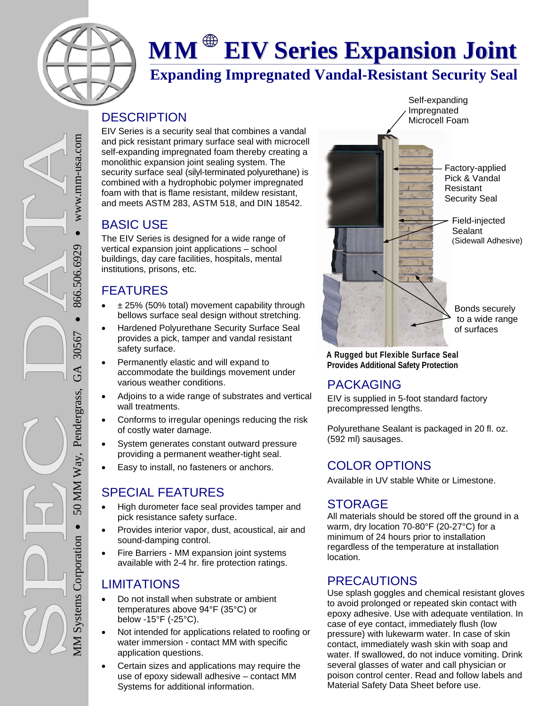

# **MM EIV Series Expansion Joint**

# **Expanding Impregnated Vandal-Resistant Security Seal**

#### **DESCRIPTION**

EIV Series is a security seal that combines a vandal and pick resistant primary surface seal with microcell self-expanding impregnated foam thereby creating a monolithic expansion joint sealing system. The security surface seal (silyl-terminated polyurethane) is combined with a hydrophobic polymer impregnated foam with that is flame resistant, mildew resistant, and meets ASTM 283, ASTM 518, and DIN 18542.

# BASIC USE

The EIV Series is designed for a wide range of vertical expansion joint applications – school buildings, day care facilities, hospitals, mental institutions, prisons, etc.

# FEATURES

- $\div$  ± 25% (50% total) movement capability through bellows surface seal design without stretching.
- Hardened Polyurethane Security Surface Seal provides a pick, tamper and vandal resistant safety surface.
- Permanently elastic and will expand to accommodate the buildings movement under various weather conditions.
- Adjoins to a wide range of substrates and vertical wall treatments.
- Conforms to irregular openings reducing the risk of costly water damage.
- System generates constant outward pressure providing a permanent weather-tight seal.
- Easy to install, no fasteners or anchors.

# SPECIAL FEATURES

- High durometer face seal provides tamper and pick resistance safety surface.
- Provides interior vapor, dust, acoustical, air and sound-damping control.
- Fire Barriers MM expansion joint systems available with 2-4 hr. fire protection ratings.

# LIMITATIONS

MM Systems Corporation

**MM** Systems Corporation

 $\bullet$ 

50 MM Way, Pendergrass, GA 30567

50 MM Way, Pendergrass,

 $866.506.6929$ 

30567

GA

866.506.6929

 $\bullet$  www.mm-usa.com

www.mm-usa.com

- Do not install when substrate or ambient temperatures above 94°F (35°C) or below -15°F (-25°C).
- Not intended for applications related to roofing or water immersion - contact MM with specific application questions.
- Certain sizes and applications may require the use of epoxy sidewall adhesive – contact MM Systems for additional information.



**A Rugged but Flexible Surface Seal Provides Additional Safety Protection**

# PACKAGING

EIV is supplied in 5-foot standard factory precompressed lengths.

Polyurethane Sealant is packaged in 20 fl. oz. (592 ml) sausages.

# COLOR OPTIONS

Available in UV stable White or Limestone.

# STORAGE

All materials should be stored off the ground in a warm, dry location 70-80°F (20-27°C) for a minimum of 24 hours prior to installation regardless of the temperature at installation location.

#### PRECAUTIONS

Use splash goggles and chemical resistant gloves to avoid prolonged or repeated skin contact with epoxy adhesive. Use with adequate ventilation. In case of eye contact, immediately flush (low pressure) with lukewarm water. In case of skin contact, immediately wash skin with soap and water. If swallowed, do not induce vomiting. Drink several glasses of water and call physician or poison control center. Read and follow labels and Material Safety Data Sheet before use.